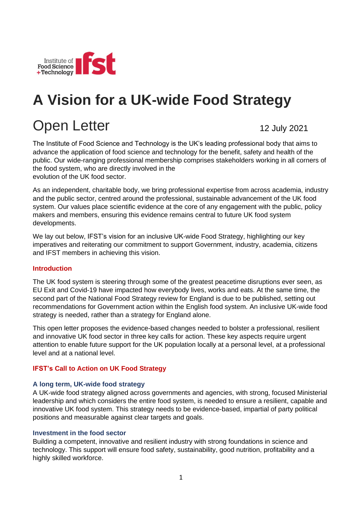

# **A Vision for a UK-wide Food Strategy**

# Open Letter

12 July 2021

The Institute of Food Science and Technology is the UK's leading professional body that aims to advance the application of food science and technology for the benefit, safety and health of the public. Our wide-ranging professional membership comprises stakeholders working in all corners of the food system, who are directly involved in the evolution of the UK food sector.

As an independent, charitable body, we bring professional expertise from across academia, industry and the public sector, centred around the professional, sustainable advancement of the UK food system. Our values place scientific evidence at the core of any engagement with the public, policy makers and members, ensuring this evidence remains central to future UK food system developments.

We lay out below, IFST's vision for an inclusive UK-wide Food Strategy, highlighting our key imperatives and reiterating our commitment to support Government, industry, academia, citizens and IFST members in achieving this vision.

#### **Introduction**

The UK food system is steering through some of the greatest peacetime disruptions ever seen, as EU Exit and Covid-19 have impacted how everybody lives, works and eats. At the same time, the second part of the National Food Strategy review for England is due to be published, setting out recommendations for Government action within the English food system. An inclusive UK-wide food strategy is needed, rather than a strategy for England alone.

This open letter proposes the evidence-based changes needed to bolster a professional, resilient and innovative UK food sector in three key calls for action. These key aspects require urgent attention to enable future support for the UK population locally at a personal level, at a professional level and at a national level.

#### **IFST's Call to Action on UK Food Strategy**

#### **A long term, UK-wide food strategy**

A UK-wide food strategy aligned across governments and agencies, with strong, focused Ministerial leadership and which considers the entire food system, is needed to ensure a resilient, capable and innovative UK food system. This strategy needs to be evidence-based, impartial of party political positions and measurable against clear targets and goals.

#### **Investment in the food sector**

Building a competent, innovative and resilient industry with strong foundations in science and technology. This support will ensure food safety, sustainability, good nutrition, profitability and a highly skilled workforce.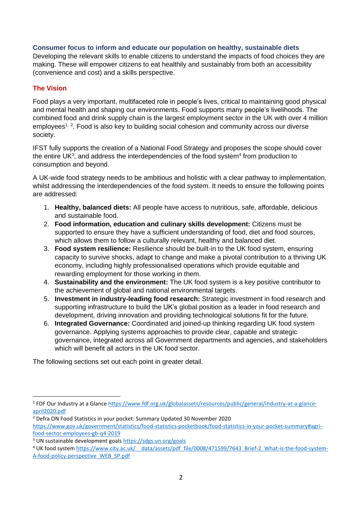#### **Consumer focus to inform and educate our population on healthy, sustainable diets**

Developing the relevant skills to enable citizens to understand the impacts of food choices they are making. These will empower citizens to eat healthily and sustainably from both an accessibility (convenience and cost) and a skills perspective.

## **The Vision**

Food plays a very important, multifaceted role in people's lives, critical to maintaining good physical and mental health and shaping our environments. Food supports many people's livelihoods. The combined food and drink supply chain is the largest employment sector in the UK with over 4 million employees<sup>1, 2</sup>. Food is also key to building social cohesion and community across our diverse society.

IFST fully supports the creation of a National Food Strategy and proposes the scope should cover the entire UK<sup>3</sup>, and address the interdependencies of the food system<sup>4</sup> from production to consumption and beyond.

A UK-wide food strategy needs to be ambitious and holistic with a clear pathway to implementation, whilst addressing the interdependencies of the food system. It needs to ensure the following points are addressed:

- 1. **Healthy, balanced diets:** All people have access to nutritious, safe, affordable, delicious and sustainable food.
- 2. **Food information, education and culinary skills development:** Citizens must be supported to ensure they have a sufficient understanding of food, diet and food sources, which allows them to follow a culturally relevant, healthy and balanced diet.
- 3. **Food system resilience:** Resilience should be built-in to the UK food system, ensuring capacity to survive shocks, adapt to change and make a pivotal contribution to a thriving UK economy, including highly professionalised operations which provide equitable and rewarding employment for those working in them.
- 4. **Sustainability and the environment:** The UK food system is a key positive contributor to the achievement of global and national environmental targets.
- 5. **Investment in industry-leading food research:** Strategic investment in food research and supporting infrastructure to build the UK's global position as a leader in food research and development, driving innovation and providing technological solutions fit for the future.
- 6. **Integrated Governance:** Coordinated and joined-up thinking regarding UK food system governance. Applying systems approaches to provide clear, capable and strategic governance, integrated across all Government departments and agencies, and stakeholders which will benefit all actors in the UK food sector.

The following sections set out each point in greater detail.

<sup>&</sup>lt;sup>1</sup> FDF Our Industry at a Glance [https://www.fdf.org.uk/globalassets/resources/public/general/industry-at-a-glance](https://www.fdf.org.uk/globalassets/resources/public/general/industry-at-a-glance-april2020.pdf)[april2020.pdf](https://www.fdf.org.uk/globalassets/resources/public/general/industry-at-a-glance-april2020.pdf)

<sup>2</sup> Defra ON Food Statistics in your pocket: Summary Updated 30 November 2020 [https://www.gov.uk/government/statistics/food-statistics-pocketbook/food-statistics-in-your-pocket-summary#agri](https://www.gov.uk/government/statistics/food-statistics-pocketbook/food-statistics-in-your-pocket-summary#agri-food-sector-employees-gb-q4-2019)[food-sector-employees-gb-q4-2019](https://www.gov.uk/government/statistics/food-statistics-pocketbook/food-statistics-in-your-pocket-summary#agri-food-sector-employees-gb-q4-2019)

<sup>3</sup> UN sustainable development goal[s https://sdgs.un.org/goals](https://sdgs.un.org/goals)

<sup>&</sup>lt;sup>4</sup> UK food system https://www.city.ac.uk/ data/assets/pdf file/0008/471599/7643 Brief-2 What-is-the-food-system-[A-food-policy-perspective\\_WEB\\_SP.pdf](https://www.city.ac.uk/__data/assets/pdf_file/0008/471599/7643_Brief-2_What-is-the-food-system-A-food-policy-perspective_WEB_SP.pdf)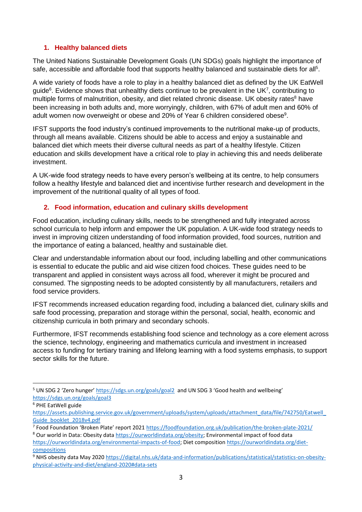#### **1. Healthy balanced diets**

The United Nations Sustainable Development Goals (UN SDGs) goals highlight the importance of safe, accessible and affordable food that supports healthy balanced and sustainable diets for all<sup>5</sup>.

A wide variety of foods have a role to play in a healthy balanced diet as defined by the UK EatWell guide<sup>6</sup>. Evidence shows that unhealthy diets continue to be prevalent in the UK<sup>7</sup>, contributing to multiple forms of malnutrition, obesity, and diet related chronic disease. UK obesity rates<sup>8</sup> have been increasing in both adults and, more worryingly, children, with 67% of adult men and 60% of adult women now overweight or obese and 20% of Year 6 children considered obese<sup>9</sup>.

IFST supports the food industry's continued improvements to the nutritional make-up of products, through all means available. Citizens should be able to access and enjoy a sustainable and balanced diet which meets their diverse cultural needs as part of a healthy lifestyle. Citizen education and skills development have a critical role to play in achieving this and needs deliberate investment.

A UK-wide food strategy needs to have every person's wellbeing at its centre, to help consumers follow a healthy lifestyle and balanced diet and incentivise further research and development in the improvement of the nutritional quality of all types of food.

## **2. Food information, education and culinary skills development**

Food education, including culinary skills, needs to be strengthened and fully integrated across school curricula to help inform and empower the UK population. A UK-wide food strategy needs to invest in improving citizen understanding of food information provided, food sources, nutrition and the importance of eating a balanced, healthy and sustainable diet.

Clear and understandable information about our food, including labelling and other communications is essential to educate the public and aid wise citizen food choices. These guides need to be transparent and applied in consistent ways across all food, wherever it might be procured and consumed. The signposting needs to be adopted consistently by all manufacturers, retailers and food service providers.

IFST recommends increased education regarding food, including a balanced diet, culinary skills and safe food processing, preparation and storage within the personal, social, health, economic and citizenship curricula in both primary and secondary schools.

Furthermore, IFST recommends establishing food science and technology as a core element across the science, technology, engineering and mathematics curricula and investment in increased access to funding for tertiary training and lifelong learning with a food systems emphasis, to support sector skills for the future.

<sup>&</sup>lt;sup>5</sup> UN SDG 2 'Zero hunger' <https://sdgs.un.org/goals/goal2> and UN SDG 3 'Good health and wellbeing' <https://sdgs.un.org/goals/goal3>

<sup>6</sup> PHE EatWell guide

[https://assets.publishing.service.gov.uk/government/uploads/system/uploads/attachment\\_data/file/742750/Eatwell\\_](https://assets.publishing.service.gov.uk/government/uploads/system/uploads/attachment_data/file/742750/Eatwell_Guide_booklet_2018v4.pdf) [Guide\\_booklet\\_2018v4.pdf](https://assets.publishing.service.gov.uk/government/uploads/system/uploads/attachment_data/file/742750/Eatwell_Guide_booklet_2018v4.pdf)

<sup>&</sup>lt;sup>7</sup> Food Foundation 'Broken Plate' report 2021 <https://foodfoundation.org.uk/publication/the-broken-plate-2021/>

<sup>8</sup> Our world in Data: Obesity data [https://ourworldindata.org/obesity;](https://ourworldindata.org/obesity) Environmental impact of food data [https://ourworldindata.org/environmental-impacts-of-food;](https://ourworldindata.org/environmental-impacts-of-food) Diet composition [https://ourworldindata.org/diet](https://ourworldindata.org/diet-compositions)[compositions](https://ourworldindata.org/diet-compositions)

<sup>9</sup> NHS obesity data May 2020 [https://digital.nhs.uk/data-and-information/publications/statistical/statistics-on-obesity](https://digital.nhs.uk/data-and-information/publications/statistical/statistics-on-obesity-physical-activity-and-diet/england-2020#data-sets)[physical-activity-and-diet/england-2020#data-sets](https://digital.nhs.uk/data-and-information/publications/statistical/statistics-on-obesity-physical-activity-and-diet/england-2020#data-sets)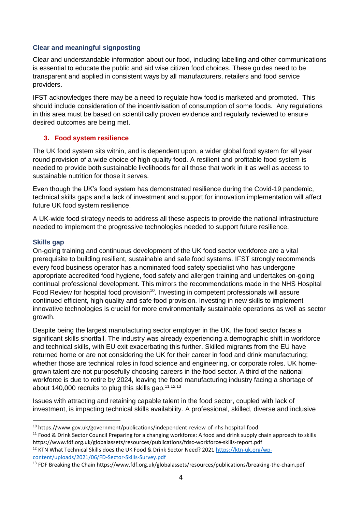#### **Clear and meaningful signposting**

Clear and understandable information about our food, including labelling and other communications is essential to educate the public and aid wise citizen food choices. These guides need to be transparent and applied in consistent ways by all manufacturers, retailers and food service providers.

IFST acknowledges there may be a need to regulate how food is marketed and promoted. This should include consideration of the incentivisation of consumption of some foods. Any regulations in this area must be based on scientifically proven evidence and regularly reviewed to ensure desired outcomes are being met.

## **3. Food system resilience**

The UK food system sits within, and is dependent upon, a wider global food system for all year round provision of a wide choice of high quality food. A resilient and profitable food system is needed to provide both sustainable livelihoods for all those that work in it as well as access to sustainable nutrition for those it serves.

Even though the UK's food system has demonstrated resilience during the Covid-19 pandemic, technical skills gaps and a lack of investment and support for innovation implementation will affect future UK food system resilience.

A UK-wide food strategy needs to address all these aspects to provide the national infrastructure needed to implement the progressive technologies needed to support future resilience.

#### **Skills gap**

On-going training and continuous development of the UK food sector workforce are a vital prerequisite to building resilient, sustainable and safe food systems. IFST strongly recommends every food business operator has a nominated food safety specialist who has undergone appropriate accredited food hygiene, food safety and allergen training and undertakes on-going continual professional development. This mirrors the recommendations made in the NHS Hospital Food Review for hospital food provision<sup>10</sup>. Investing in competent professionals will assure continued efficient, high quality and safe food provision. Investing in new skills to implement innovative technologies is crucial for more environmentally sustainable operations as well as sector growth.

Despite being the largest manufacturing sector employer in the UK, the food sector faces a significant skills shortfall. The industry was already experiencing a demographic shift in workforce and technical skills, with EU exit exacerbating this further. Skilled migrants from the EU have returned home or are not considering the UK for their career in food and drink manufacturing; whether those are technical roles in food science and engineering, or corporate roles. UK homegrown talent are not purposefully choosing careers in the food sector. A third of the national workforce is due to retire by 2024, leaving the food manufacturing industry facing a shortage of about 140,000 recruits to plug this skills gap.<sup>11,12,13</sup>

Issues with attracting and retaining capable talent in the food sector, coupled with lack of investment, is impacting technical skills availability. A professional, skilled, diverse and inclusive

<sup>12</sup> KTN What Technical Skills does the UK Food & Drink Sector Need? 2021 [https://ktn-uk.org/wp](https://ktn-uk.org/wp-content/uploads/2021/06/FD-Sector-Skills-Survey.pdf)[content/uploads/2021/06/FD-Sector-Skills-Survey.pdf](https://ktn-uk.org/wp-content/uploads/2021/06/FD-Sector-Skills-Survey.pdf)

<sup>10</sup> https://www.gov.uk/government/publications/independent-review-of-nhs-hospital-food

<sup>&</sup>lt;sup>11</sup> Food & Drink Sector Council Preparing for a changing workforce: A food and drink supply chain approach to skills https://www.fdf.org.uk/globalassets/resources/publications/fdsc-workforce-skills-report.pdf

<sup>13</sup> FDF Breaking the Chain https://www.fdf.org.uk/globalassets/resources/publications/breaking-the-chain.pdf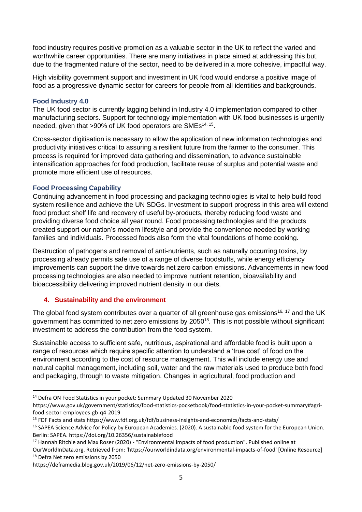food industry requires positive promotion as a valuable sector in the UK to reflect the varied and worthwhile career opportunities. There are many initiatives in place aimed at addressing this but, due to the fragmented nature of the sector, need to be delivered in a more cohesive, impactful way.

High visibility government support and investment in UK food would endorse a positive image of food as a progressive dynamic sector for careers for people from all identities and backgrounds.

#### **Food Industry 4.0**

The UK food sector is currently lagging behind in Industry 4.0 implementation compared to other manufacturing sectors. Support for technology implementation with UK food businesses is urgently needed, given that >90% of UK food operators are SMEs<sup>14, 15</sup>.

Cross-sector digitisation is necessary to allow the application of new information technologies and productivity initiatives critical to assuring a resilient future from the farmer to the consumer. This process is required for improved data gathering and dissemination, to advance sustainable intensification approaches for food production, facilitate reuse of surplus and potential waste and promote more efficient use of resources.

#### **Food Processing Capability**

Continuing advancement in food processing and packaging technologies is vital to help build food system resilience and achieve the UN SDGs. Investment to support progress in this area will extend food product shelf life and recovery of useful by-products, thereby reducing food waste and providing diverse food choice all year round. Food processing technologies and the products created support our nation's modern lifestyle and provide the convenience needed by working families and individuals. Processed foods also form the vital foundations of home cooking.

Destruction of pathogens and removal of anti-nutrients, such as naturally occurring toxins, by processing already permits safe use of a range of diverse foodstuffs, while energy efficiency improvements can support the drive towards net zero carbon emissions. Advancements in new food processing technologies are also needed to improve nutrient retention, bioavailability and bioaccessibility delivering improved nutrient density in our diets.

## **4. Sustainability and the environment**

The global food system contributes over a quarter of all greenhouse gas emissions<sup>16, 17</sup> and the UK government has committed to net zero emissions by 2050<sup>18</sup>. This is not possible without significant investment to address the contribution from the food system.

Sustainable access to sufficient safe, nutritious, aspirational and affordable food is built upon a range of resources which require specific attention to understand a 'true cost' of food on the environment according to the cost of resource management. This will include energy use and natural capital management, including soil, water and the raw materials used to produce both food and packaging, through to waste mitigation. Changes in agricultural, food production and

<sup>14</sup> Defra ON Food Statistics in your pocket: Summary Updated 30 November 2020

https://www.gov.uk/government/statistics/food-statistics-pocketbook/food-statistics-in-your-pocket-summary#agrifood-sector-employees-gb-q4-2019

<sup>15</sup> FDF Facts and stats https://www.fdf.org.uk/fdf/business-insights-and-economics/facts-and-stats/

<sup>&</sup>lt;sup>16</sup> SAPEA Science Advice for Policy by European Academies. (2020). A sustainable food system for the European Union. Berlin: SAPEA. https://doi.org/10.26356/sustainablefood

<sup>&</sup>lt;sup>17</sup> Hannah Ritchie and Max Roser (2020) - "Environmental impacts of food production". Published online at OurWorldInData.org. Retrieved from: 'https://ourworldindata.org/environmental-impacts-of-food' [Online Resource] <sup>18</sup> Defra Net zero emissions by 2050

https://deframedia.blog.gov.uk/2019/06/12/net-zero-emissions-by-2050/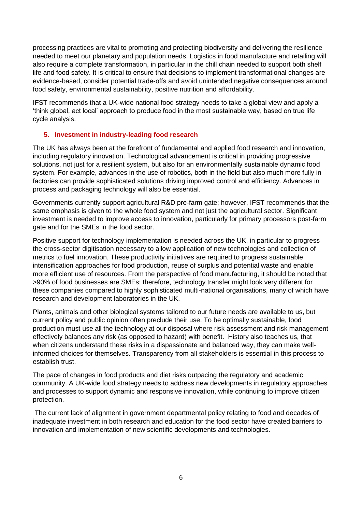processing practices are vital to promoting and protecting biodiversity and delivering the resilience needed to meet our planetary and population needs. Logistics in food manufacture and retailing will also require a complete transformation, in particular in the chill chain needed to support both shelf life and food safety. It is critical to ensure that decisions to implement transformational changes are evidence-based, consider potential trade-offs and avoid unintended negative consequences around food safety, environmental sustainability, positive nutrition and affordability.

IFST recommends that a UK-wide national food strategy needs to take a global view and apply a 'think global, act local' approach to produce food in the most sustainable way, based on true life cycle analysis.

## **5. Investment in industry-leading food research**

The UK has always been at the forefront of fundamental and applied food research and innovation, including regulatory innovation. Technological advancement is critical in providing progressive solutions, not just for a resilient system, but also for an environmentally sustainable dynamic food system. For example, advances in the use of robotics, both in the field but also much more fully in factories can provide sophisticated solutions driving improved control and efficiency. Advances in process and packaging technology will also be essential.

Governments currently support agricultural R&D pre-farm gate; however, IFST recommends that the same emphasis is given to the whole food system and not just the agricultural sector. Significant investment is needed to improve access to innovation, particularly for primary processors post-farm gate and for the SMEs in the food sector.

Positive support for technology implementation is needed across the UK, in particular to progress the cross-sector digitisation necessary to allow application of new technologies and collection of metrics to fuel innovation. These productivity initiatives are required to progress sustainable intensification approaches for food production, reuse of surplus and potential waste and enable more efficient use of resources. From the perspective of food manufacturing, it should be noted that >90% of food businesses are SMEs; therefore, technology transfer might look very different for these companies compared to highly sophisticated multi-national organisations, many of which have research and development laboratories in the UK.

Plants, animals and other biological systems tailored to our future needs are available to us, but current policy and public opinion often preclude their use. To be optimally sustainable, food production must use all the technology at our disposal where risk assessment and risk management effectively balances any risk (as opposed to hazard) with benefit. History also teaches us, that when citizens understand these risks in a dispassionate and balanced way, they can make wellinformed choices for themselves. Transparency from all stakeholders is essential in this process to establish trust.

The pace of changes in food products and diet risks outpacing the regulatory and academic community. A UK-wide food strategy needs to address new developments in regulatory approaches and processes to support dynamic and responsive innovation, while continuing to improve citizen protection.

The current lack of alignment in government departmental policy relating to food and decades of inadequate investment in both research and education for the food sector have created barriers to innovation and implementation of new scientific developments and technologies.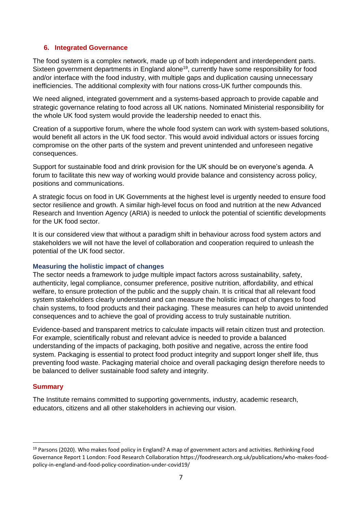#### **6. Integrated Governance**

The food system is a complex network, made up of both independent and interdependent parts. Sixteen government departments in England alone<sup>19</sup>, currently have some responsibility for food and/or interface with the food industry, with multiple gaps and duplication causing unnecessary inefficiencies. The additional complexity with four nations cross-UK further compounds this.

We need aligned, integrated government and a systems-based approach to provide capable and strategic governance relating to food across all UK nations. Nominated Ministerial responsibility for the whole UK food system would provide the leadership needed to enact this.

Creation of a supportive forum, where the whole food system can work with system-based solutions, would benefit all actors in the UK food sector. This would avoid individual actors or issues forcing compromise on the other parts of the system and prevent unintended and unforeseen negative consequences.

Support for sustainable food and drink provision for the UK should be on everyone's agenda. A forum to facilitate this new way of working would provide balance and consistency across policy, positions and communications.

A strategic focus on food in UK Governments at the highest level is urgently needed to ensure food sector resilience and growth. A similar high-level focus on food and nutrition at the new Advanced Research and Invention Agency (ARIA) is needed to unlock the potential of scientific developments for the UK food sector.

It is our considered view that without a paradigm shift in behaviour across food system actors and stakeholders we will not have the level of collaboration and cooperation required to unleash the potential of the UK food sector.

#### **Measuring the holistic impact of changes**

The sector needs a framework to judge multiple impact factors across sustainability, safety, authenticity, legal compliance, consumer preference, positive nutrition, affordability, and ethical welfare, to ensure protection of the public and the supply chain. It is critical that all relevant food system stakeholders clearly understand and can measure the holistic impact of changes to food chain systems, to food products and their packaging. These measures can help to avoid unintended consequences and to achieve the goal of providing access to truly sustainable nutrition.

Evidence-based and transparent metrics to calculate impacts will retain citizen trust and protection. For example, scientifically robust and relevant advice is needed to provide a balanced understanding of the impacts of packaging, both positive and negative, across the entire food system. Packaging is essential to protect food product integrity and support longer shelf life, thus preventing food waste. Packaging material choice and overall packaging design therefore needs to be balanced to deliver sustainable food safety and integrity.

#### **Summary**

The Institute remains committed to supporting governments, industry, academic research, educators, citizens and all other stakeholders in achieving our vision.

<sup>19</sup> Parsons (2020). Who makes food policy in England? A map of government actors and activities. Rethinking Food Governance Report 1 London: Food Research Collaboration https://foodresearch.org.uk/publications/who-makes-foodpolicy-in-england-and-food-policy-coordination-under-covid19/